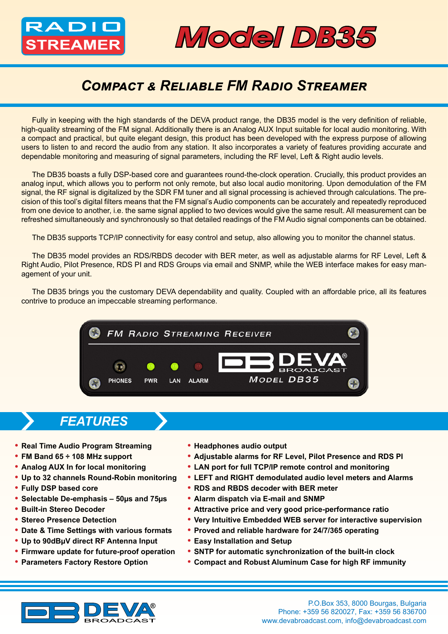# ADII



## *Compact & Reliable FM Radio Streamer*

Fully in keeping with the high standards of the DEVA product range, the DB35 model is the very definition of reliable, high-quality streaming of the FM signal. Additionally there is an Analog AUX Input suitable for local audio monitoring. With a compact and practical, but quite elegant design, this product has been developed with the express purpose of allowing users to listen to and record the audio from any station. It also incorporates a variety of features providing accurate and dependable monitoring and measuring of signal parameters, including the RF level, Left & Right audio levels.

The DB35 boasts a fully DSP-based core and guarantees round-the-clock operation. Crucially, this product provides an analog input, which allows you to perform not only remote, but also local audio monitoring. Upon demodulation of the FM signal, the RF signal is digitalized by the SDR FM tuner and all signal processing is achieved through calculations. The precision of this tool's digital filters means that the FM signal's Audio components can be accurately and repeatedly reproduced from one device to another, i.e. the same signal applied to two devices would give the same result. All measurement can be refreshed simultaneously and synchronously so that detailed readings of the FM Audio signal components can be obtained.

The DB35 supports TCP/IP connectivity for easy control and setup, also allowing you to monitor the channel status.

The DB35 model provides an RDS/RBDS decoder with BER meter, as well as adjustable alarms for RF Level, Left & Right Audio, Pilot Presence, RDS PI and RDS Groups via email and SNMP, while the WEB interface makes for easy management of your unit.

The DB35 brings you the customary DEVA dependability and quality. Coupled with an affordable price, all its features contrive to produce an impeccable streaming performance.



#### *FEATURES*

- **• Real Time Audio Program Streaming**
- **• FM Band 65 ÷ 108 MHz support**
- **• Analog AUX In for local monitoring**
- **• Up to 32 channels Round-Robin monitoring**
- **• Fully DSP based core**
- **• Selectable De-emphasis – 50µs and 75µs**
- **• Built-in Stereo Decoder**
- **• Stereo Presence Detection**
- **• Date & Time Settings with various formats**
- **• Up to 90dBµV direct RF Antenna Input**
- **• Firmware update for future-proof operation**
- **• Parameters Factory Restore Option**
- **• Headphones audio output**
- **• Adjustable alarms for RF Level, Pilot Presence and RDS PI**
- **• LAN port for full TCP/IP remote control and monitoring**
- **• LEFT and RIGHT demodulated audio level meters and Alarms**
- **• RDS and RBDS decoder with BER meter**
- **• Alarm dispatch via E-mail and SNMP**
- **• Attractive price and very good price-performance ratio**
- **• Very Intuitive Embedded WEB server for interactive supervision**
- **• Proved and reliable hardware for 24/7/365 operating**
- **• Easy Installation and Setup**
- **• SNTP for automatic synchronization of the built-in clock**
- **• Compact and Robust Aluminum Case for high RF immunity**